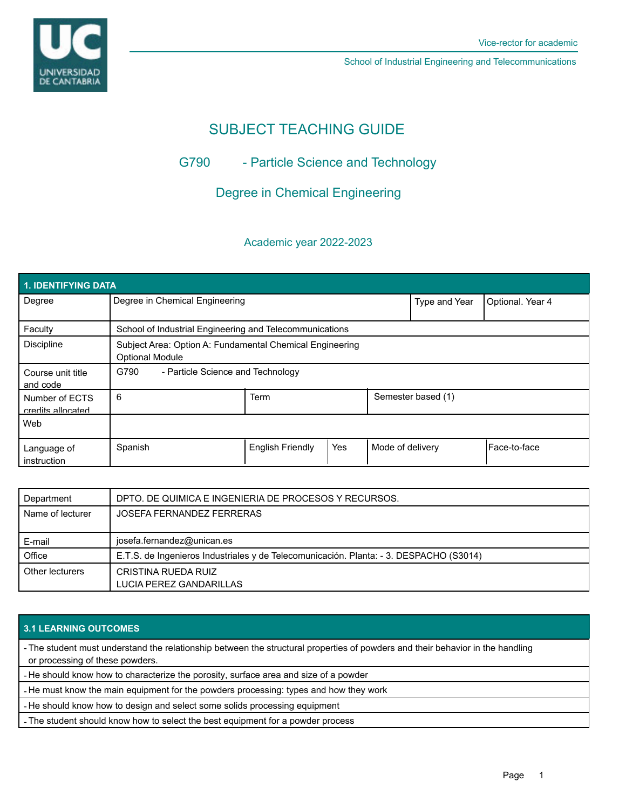



School of Industrial Engineering and Telecommunications

# SUBJECT TEACHING GUIDE

# G790 - Particle Science and Technology

## Degree in Chemical Engineering

### Academic year 2022-2023

| 1. IDENTIFYING DATA                 |                                                                                    |                         |     |                    |                  |              |  |  |  |
|-------------------------------------|------------------------------------------------------------------------------------|-------------------------|-----|--------------------|------------------|--------------|--|--|--|
| Degree                              | Degree in Chemical Engineering                                                     |                         |     | Type and Year      | Optional. Year 4 |              |  |  |  |
| Faculty                             | School of Industrial Engineering and Telecommunications                            |                         |     |                    |                  |              |  |  |  |
| <b>Discipline</b>                   | Subject Area: Option A: Fundamental Chemical Engineering<br><b>Optional Module</b> |                         |     |                    |                  |              |  |  |  |
| Course unit title<br>and code       | G790<br>- Particle Science and Technology                                          |                         |     |                    |                  |              |  |  |  |
| Number of ECTS<br>credits allocated | 6                                                                                  | <b>Term</b>             |     | Semester based (1) |                  |              |  |  |  |
| Web                                 |                                                                                    |                         |     |                    |                  |              |  |  |  |
| Language of<br>instruction          | Spanish                                                                            | <b>English Friendly</b> | Yes | Mode of delivery   |                  | Face-to-face |  |  |  |

| Department       | DPTO. DE QUIMICA E INGENIERIA DE PROCESOS Y RECURSOS.                                  |
|------------------|----------------------------------------------------------------------------------------|
| Name of lecturer | JOSEFA FERNANDEZ FERRERAS                                                              |
|                  |                                                                                        |
| E-mail           | josefa.fernandez@unican.es                                                             |
| Office           | E.T.S. de Ingenieros Industriales y de Telecomunicación. Planta: - 3. DESPACHO (S3014) |
| Other lecturers  | CRISTINA RUEDA RUIZ                                                                    |
|                  | LUCIA PEREZ GANDARILLAS                                                                |

### **3.1 LEARNING OUTCOMES**

- The student must understand the relationship between the structural properties of powders and their behavior in the handling or processing of these powders.

- He should know how to characterize the porosity, surface area and size of a powder

- He must know the main equipment for the powders processing: types and how they work

- He should know how to design and select some solids processing equipment

- The student should know how to select the best equipment for a powder process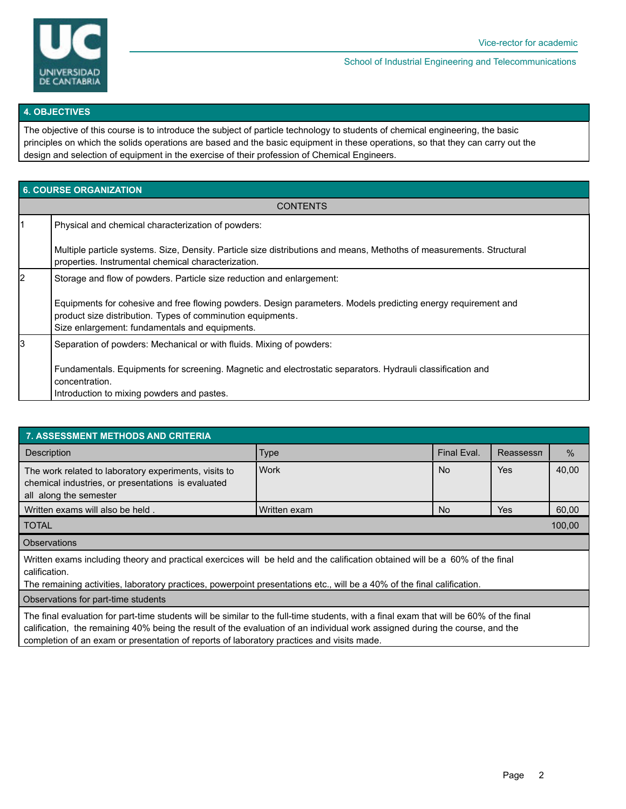

School of Industrial Engineering and Telecommunications

#### **4. OBJECTIVES**

The objective of this course is to introduce the subject of particle technology to students of chemical engineering, the basic principles on which the solids operations are based and the basic equipment in these operations, so that they can carry out the design and selection of equipment in the exercise of their profession of Chemical Engineers.

| <b>6. COURSE ORGANIZATION</b> |                                                                                                                                                                              |  |  |  |  |
|-------------------------------|------------------------------------------------------------------------------------------------------------------------------------------------------------------------------|--|--|--|--|
| <b>CONTENTS</b>               |                                                                                                                                                                              |  |  |  |  |
| l1                            | Physical and chemical characterization of powders:                                                                                                                           |  |  |  |  |
|                               | Multiple particle systems. Size, Density. Particle size distributions and means, Methoths of measurements. Structural<br>properties. Instrumental chemical characterization. |  |  |  |  |
| $\overline{2}$                | Storage and flow of powders. Particle size reduction and enlargement:                                                                                                        |  |  |  |  |
|                               | Equipments for cohesive and free flowing powders. Design parameters. Models predicting energy requirement and                                                                |  |  |  |  |
|                               | product size distribution. Types of comminution equipments.<br>Size enlargement: fundamentals and equipments.                                                                |  |  |  |  |
| Iз                            | Separation of powders: Mechanical or with fluids. Mixing of powders:                                                                                                         |  |  |  |  |
|                               | Fundamentals. Equipments for screening. Magnetic and electrostatic separators. Hydrauli classification and<br>concentration.<br>Introduction to mixing powders and pastes.   |  |  |  |  |

| <b>7. ASSESSMENT METHODS AND CRITERIA</b>                                                                                                                                                                                                                                |              |             |           |       |  |  |  |  |
|--------------------------------------------------------------------------------------------------------------------------------------------------------------------------------------------------------------------------------------------------------------------------|--------------|-------------|-----------|-------|--|--|--|--|
| <b>Description</b>                                                                                                                                                                                                                                                       | <b>Type</b>  | Final Eval. | Reassessn | $\%$  |  |  |  |  |
| The work related to laboratory experiments, visits to<br>chemical industries, or presentations is evaluated<br>all along the semester                                                                                                                                    | Work         | <b>No</b>   | Yes       | 40,00 |  |  |  |  |
| Written exams will also be held.                                                                                                                                                                                                                                         | Written exam | No.         | Yes       | 60,00 |  |  |  |  |
| 100,00<br><b>TOTAL</b>                                                                                                                                                                                                                                                   |              |             |           |       |  |  |  |  |
| <b>Observations</b>                                                                                                                                                                                                                                                      |              |             |           |       |  |  |  |  |
| Written exams including theory and practical exercices will be held and the calification obtained will be a 60% of the final<br>calification.<br>The remaining activities, laboratory practices, powerpoint presentations etc., will be a 40% of the final calification. |              |             |           |       |  |  |  |  |
| Observations for part-time students                                                                                                                                                                                                                                      |              |             |           |       |  |  |  |  |
| The final evaluation for part-time students will be similar to the full-time students, with a final exam that will be 60% of the final<br>calification, the remaining 40% being the result of the evaluation of an individual work assigned during the course, and the   |              |             |           |       |  |  |  |  |

completion of an exam or presentation of reports of laboratory practices and visits made.